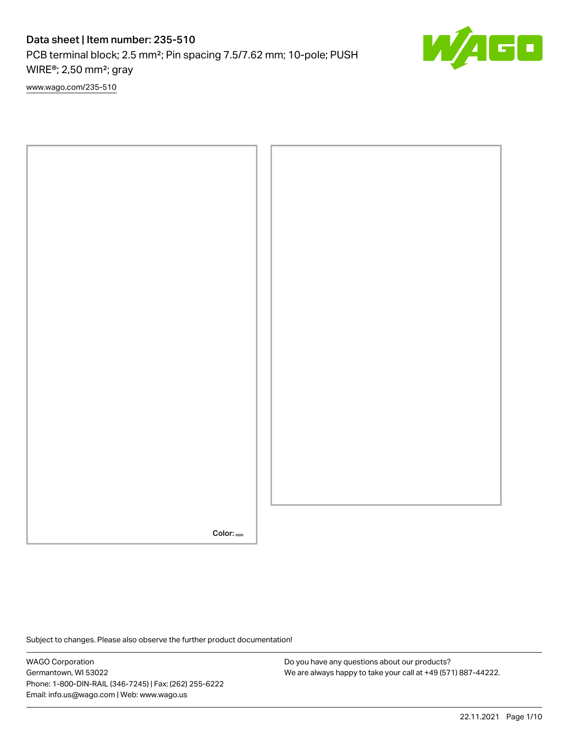PCB terminal block; 2.5 mm²; Pin spacing 7.5/7.62 mm; 10-pole; PUSH WIRE®; 2,50 mm²; gray

[www.wago.com/235-510](http://www.wago.com/235-510)



Subject to changes. Please also observe the further product documentation!

WAGO Corporation Germantown, WI 53022 Phone: 1-800-DIN-RAIL (346-7245) | Fax: (262) 255-6222 Email: info.us@wago.com | Web: www.wago.us

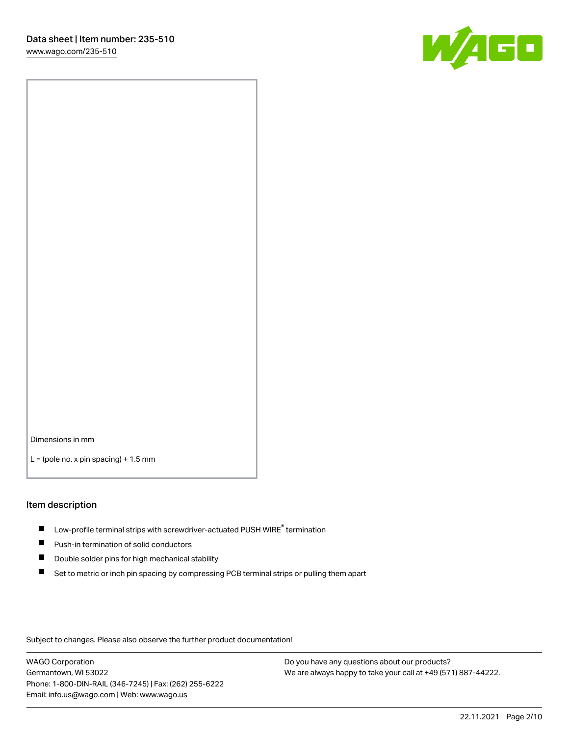

Dimensions in mm

 $L =$  (pole no. x pin spacing) + 1.5 mm

#### Item description

- $\blacksquare$  Low-profile terminal strips with screwdriver-actuated PUSH WIRE<sup>®</sup> termination
- **Push-in termination of solid conductors**
- $\blacksquare$ Double solder pins for high mechanical stability
- П Set to metric or inch pin spacing by compressing PCB terminal strips or pulling them apart

Subject to changes. Please also observe the further product documentation!

WAGO Corporation Germantown, WI 53022 Phone: 1-800-DIN-RAIL (346-7245) | Fax: (262) 255-6222 Email: info.us@wago.com | Web: www.wago.us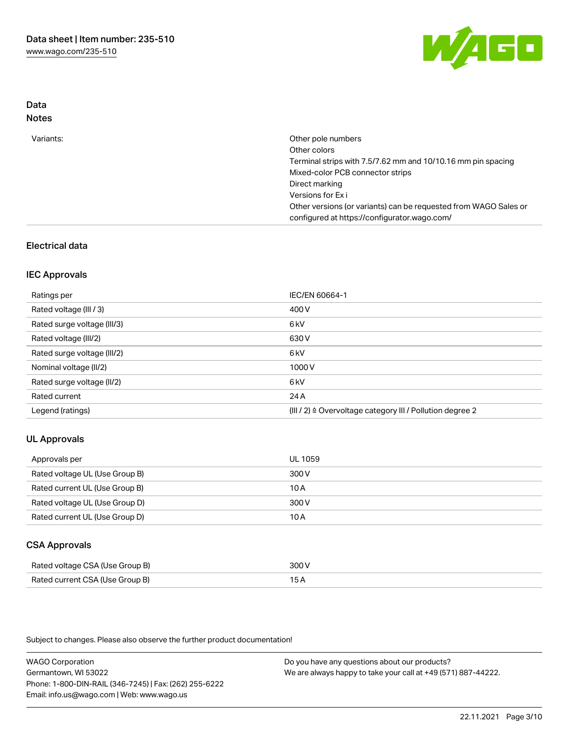

### Data Notes

| Variants: | Other pole numbers                                               |
|-----------|------------------------------------------------------------------|
|           | Other colors                                                     |
|           | Terminal strips with 7.5/7.62 mm and 10/10.16 mm pin spacing     |
|           | Mixed-color PCB connector strips                                 |
|           | Direct marking                                                   |
|           | Versions for Ex i                                                |
|           | Other versions (or variants) can be requested from WAGO Sales or |
|           | configured at https://configurator.wago.com/                     |

## Electrical data

#### IEC Approvals

| Ratings per                 | IEC/EN 60664-1                                                        |
|-----------------------------|-----------------------------------------------------------------------|
| Rated voltage (III / 3)     | 400 V                                                                 |
| Rated surge voltage (III/3) | 6kV                                                                   |
| Rated voltage (III/2)       | 630 V                                                                 |
| Rated surge voltage (III/2) | 6 kV                                                                  |
| Nominal voltage (II/2)      | 1000V                                                                 |
| Rated surge voltage (II/2)  | 6 <sub>kV</sub>                                                       |
| Rated current               | 24 A                                                                  |
| Legend (ratings)            | $(III / 2)$ $\triangle$ Overvoltage category III / Pollution degree 2 |

### UL Approvals

| Approvals per                  | UL 1059 |
|--------------------------------|---------|
| Rated voltage UL (Use Group B) | 300 V   |
| Rated current UL (Use Group B) | 10 A    |
| Rated voltage UL (Use Group D) | 300 V   |
| Rated current UL (Use Group D) | 10 A    |

### CSA Approvals

| Rated voltage CSA (Use Group B) | 300 V |
|---------------------------------|-------|
| Rated current CSA (Use Group B) |       |

Subject to changes. Please also observe the further product documentation!

WAGO Corporation Germantown, WI 53022 Phone: 1-800-DIN-RAIL (346-7245) | Fax: (262) 255-6222 Email: info.us@wago.com | Web: www.wago.us Do you have any questions about our products? We are always happy to take your call at +49 (571) 887-44222.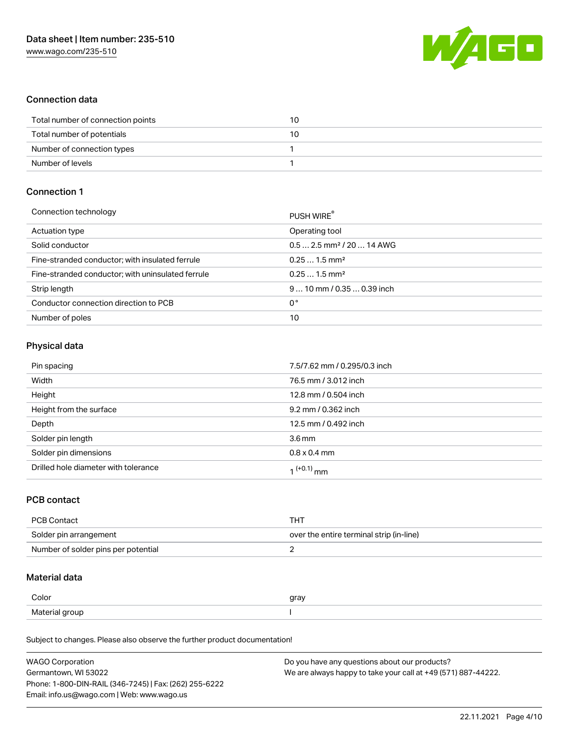

### Connection data

| Total number of connection points | 10 |
|-----------------------------------|----|
| Total number of potentials        | 10 |
| Number of connection types        |    |
| Number of levels                  |    |

### Connection 1

| PUSH WIRE                              |
|----------------------------------------|
| Operating tool                         |
| $0.5$ 2.5 mm <sup>2</sup> / 20  14 AWG |
| $0.251.5$ mm <sup>2</sup>              |
| $0.251.5$ mm <sup>2</sup>              |
| $910$ mm $/0.350.39$ inch              |
| 0°                                     |
| 10                                     |
|                                        |

#### Physical data

| Pin spacing                          | 7.5/7.62 mm / 0.295/0.3 inch |
|--------------------------------------|------------------------------|
| Width                                | 76.5 mm / 3.012 inch         |
| Height                               | 12.8 mm / 0.504 inch         |
| Height from the surface              | 9.2 mm / 0.362 inch          |
| Depth                                | 12.5 mm / 0.492 inch         |
| Solder pin length                    | $3.6 \,\mathrm{mm}$          |
| Solder pin dimensions                | $0.8 \times 0.4$ mm          |
| Drilled hole diameter with tolerance | 1 <sup>(+0.1)</sup> mm       |

### PCB contact

| <b>PCB Contact</b>                  | THT                                      |
|-------------------------------------|------------------------------------------|
| Solder pin arrangement              | over the entire terminal strip (in-line) |
| Number of solder pins per potential |                                          |

### Material data

| Color          | gray |
|----------------|------|
| Material group |      |

Subject to changes. Please also observe the further product documentation!

| <b>WAGO Corporation</b>                                | Do you have any questions about our products?                 |
|--------------------------------------------------------|---------------------------------------------------------------|
| Germantown, WI 53022                                   | We are always happy to take your call at +49 (571) 887-44222. |
| Phone: 1-800-DIN-RAIL (346-7245)   Fax: (262) 255-6222 |                                                               |
| Email: info.us@wago.com   Web: www.wago.us             |                                                               |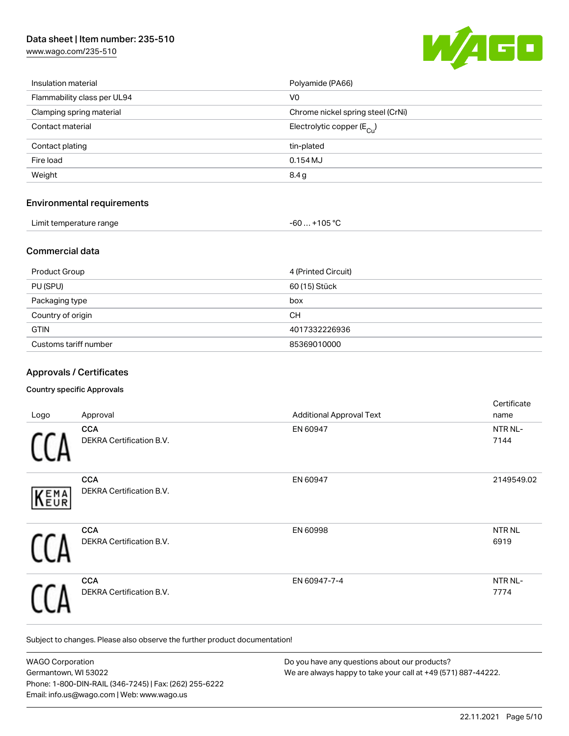[www.wago.com/235-510](http://www.wago.com/235-510)



| Insulation material         | Polyamide (PA66)                        |
|-----------------------------|-----------------------------------------|
| Flammability class per UL94 | V <sub>0</sub>                          |
| Clamping spring material    | Chrome nickel spring steel (CrNi)       |
| Contact material            | Electrolytic copper ( $E_{\text{Cu}}$ ) |
| Contact plating             | tin-plated                              |
| Fire load                   | $0.154$ MJ                              |
| Weight                      | 8.4g                                    |
|                             |                                         |

# Environmental requirements

| Limit temperature range | $-60+105 °C$ |
|-------------------------|--------------|
|                         |              |

#### Commercial data

| <b>Product Group</b>  | 4 (Printed Circuit) |
|-----------------------|---------------------|
| PU (SPU)              | 60 (15) Stück       |
| Packaging type        | box                 |
| Country of origin     | CН                  |
| <b>GTIN</b>           | 4017332226936       |
| Customs tariff number | 85369010000         |

### Approvals / Certificates

#### Country specific Approvals

|      |                                 |                                 | Certificate  |
|------|---------------------------------|---------------------------------|--------------|
| Logo | Approval                        | <b>Additional Approval Text</b> | name         |
|      | <b>CCA</b>                      | EN 60947                        | NTR NL-      |
|      | <b>DEKRA Certification B.V.</b> |                                 | 7144         |
|      | <b>CCA</b>                      | EN 60947                        | 2149549.02   |
| KEMA | DEKRA Certification B.V.        |                                 |              |
|      | <b>CCA</b>                      | EN 60998                        | <b>NTRNL</b> |
|      | <b>DEKRA Certification B.V.</b> |                                 | 6919         |
|      | <b>CCA</b>                      | EN 60947-7-4                    | NTR NL-      |
|      | <b>DEKRA Certification B.V.</b> |                                 | 7774         |

Subject to changes. Please also observe the further product documentation!

| <b>WAGO Corporation</b>                                | Do you have any questions about our products?                 |
|--------------------------------------------------------|---------------------------------------------------------------|
| Germantown, WI 53022                                   | We are always happy to take your call at +49 (571) 887-44222. |
| Phone: 1-800-DIN-RAIL (346-7245)   Fax: (262) 255-6222 |                                                               |
| Email: info.us@wago.com   Web: www.wago.us             |                                                               |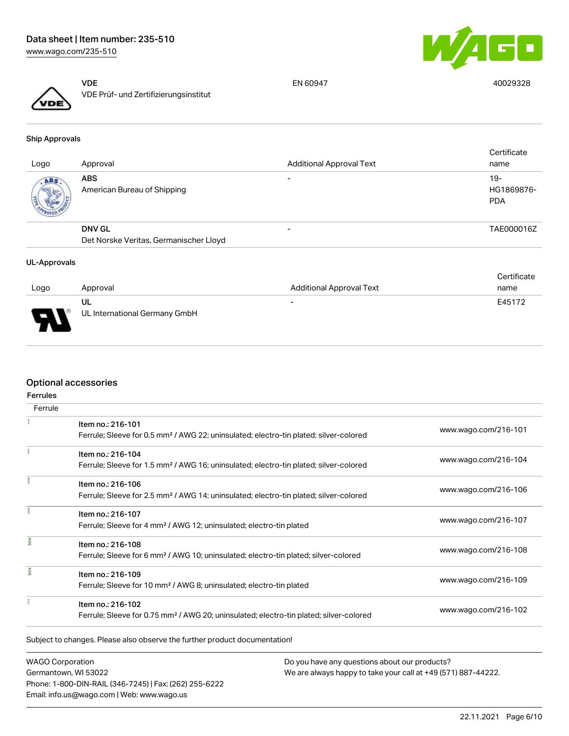

VDE VDE Prüf- und Zertifizierungsinstitut

EN 60947 40029328

Ship Approvals

| Logo | Approval                                  | <b>Additional Approval Text</b> | Certificate<br>name             |
|------|-------------------------------------------|---------------------------------|---------------------------------|
| ABS. | <b>ABS</b><br>American Bureau of Shipping | $\overline{\phantom{0}}$        | 19-<br>HG1869876-<br><b>PDA</b> |
|      | <b>DNV GL</b>                             |                                 | TAE000016Z                      |
|      | Det Norske Veritas, Germanischer Lloyd    |                                 |                                 |

#### UL-Approvals

|          |                               |                                 | Certificate |
|----------|-------------------------------|---------------------------------|-------------|
| Logo     | Approval                      | <b>Additional Approval Text</b> | name        |
|          | UL                            | $\overline{\phantom{0}}$        | E45172      |
| E<br>- 7 | UL International Germany GmbH |                                 |             |

#### Optional accessories

| <b>Ferrules</b> |                                                                                                    |                      |
|-----------------|----------------------------------------------------------------------------------------------------|----------------------|
| Ferrule         |                                                                                                    |                      |
|                 | Item no.: 216-101                                                                                  |                      |
|                 | Ferrule; Sleeve for 0.5 mm <sup>2</sup> / AWG 22; uninsulated; electro-tin plated; silver-colored  | www.wago.com/216-101 |
|                 | Item no.: 216-104                                                                                  | www.wago.com/216-104 |
|                 | Ferrule; Sleeve for 1.5 mm <sup>2</sup> / AWG 16; uninsulated; electro-tin plated; silver-colored  |                      |
|                 | Item no.: 216-106                                                                                  |                      |
|                 | Ferrule; Sleeve for 2.5 mm <sup>2</sup> / AWG 14; uninsulated; electro-tin plated; silver-colored  | www.wago.com/216-106 |
|                 | Item no.: 216-107                                                                                  |                      |
|                 | Ferrule; Sleeve for 4 mm <sup>2</sup> / AWG 12; uninsulated; electro-tin plated                    | www.wago.com/216-107 |
|                 | Item no.: 216-108                                                                                  |                      |
|                 | Ferrule; Sleeve for 6 mm <sup>2</sup> / AWG 10; uninsulated; electro-tin plated; silver-colored    | www.wago.com/216-108 |
| ī               | Item no.: 216-109                                                                                  |                      |
|                 | Ferrule; Sleeve for 10 mm <sup>2</sup> / AWG 8; uninsulated; electro-tin plated                    | www.wago.com/216-109 |
|                 | Item no.: 216-102                                                                                  |                      |
|                 | Ferrule; Sleeve for 0.75 mm <sup>2</sup> / AWG 20; uninsulated; electro-tin plated; silver-colored | www.wago.com/216-102 |

WAGO Corporation Germantown, WI 53022 Phone: 1-800-DIN-RAIL (346-7245) | Fax: (262) 255-6222 Email: info.us@wago.com | Web: www.wago.us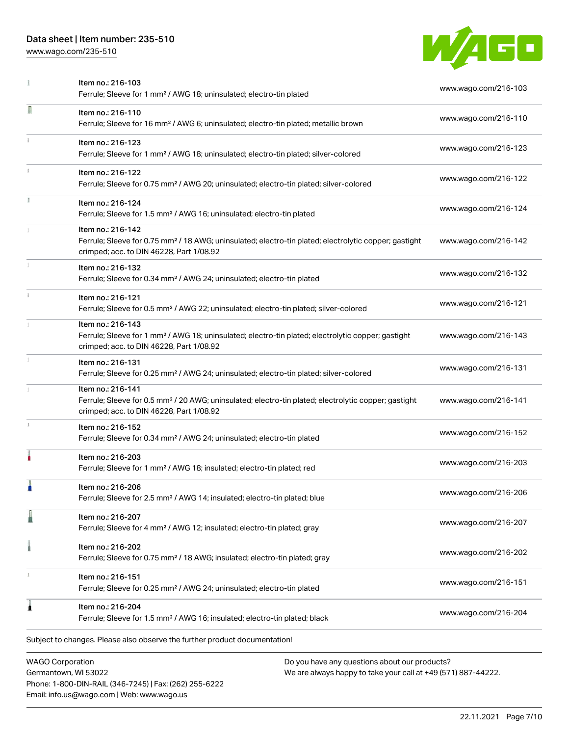Phone: 1-800-DIN-RAIL (346-7245) | Fax: (262) 255-6222

Email: info.us@wago.com | Web: www.wago.us

[www.wago.com/235-510](http://www.wago.com/235-510)



|                                                 | Item no.: 216-103<br>Ferrule; Sleeve for 1 mm <sup>2</sup> / AWG 18; uninsulated; electro-tin plated                                                                               | www.wago.com/216-103                                                                                           |
|-------------------------------------------------|------------------------------------------------------------------------------------------------------------------------------------------------------------------------------------|----------------------------------------------------------------------------------------------------------------|
| Л                                               | Item no.: 216-110<br>Ferrule; Sleeve for 16 mm <sup>2</sup> / AWG 6; uninsulated; electro-tin plated; metallic brown                                                               | www.wago.com/216-110                                                                                           |
|                                                 | Item no.: 216-123<br>Ferrule; Sleeve for 1 mm <sup>2</sup> / AWG 18; uninsulated; electro-tin plated; silver-colored                                                               | www.wago.com/216-123                                                                                           |
|                                                 | Item no.: 216-122<br>Ferrule; Sleeve for 0.75 mm <sup>2</sup> / AWG 20; uninsulated; electro-tin plated; silver-colored                                                            | www.wago.com/216-122                                                                                           |
| I.                                              | Item no.: 216-124<br>Ferrule; Sleeve for 1.5 mm <sup>2</sup> / AWG 16; uninsulated; electro-tin plated                                                                             | www.wago.com/216-124                                                                                           |
|                                                 | Item no.: 216-142<br>Ferrule; Sleeve for 0.75 mm <sup>2</sup> / 18 AWG; uninsulated; electro-tin plated; electrolytic copper; gastight<br>crimped; acc. to DIN 46228, Part 1/08.92 | www.wago.com/216-142                                                                                           |
|                                                 | Item no.: 216-132<br>Ferrule; Sleeve for 0.34 mm <sup>2</sup> / AWG 24; uninsulated; electro-tin plated                                                                            | www.wago.com/216-132                                                                                           |
|                                                 | Item no.: 216-121<br>Ferrule; Sleeve for 0.5 mm <sup>2</sup> / AWG 22; uninsulated; electro-tin plated; silver-colored                                                             | www.wago.com/216-121                                                                                           |
|                                                 | Item no.: 216-143<br>Ferrule; Sleeve for 1 mm <sup>2</sup> / AWG 18; uninsulated; electro-tin plated; electrolytic copper; gastight<br>crimped; acc. to DIN 46228, Part 1/08.92    | www.wago.com/216-143                                                                                           |
|                                                 | Item no.: 216-131<br>Ferrule; Sleeve for 0.25 mm <sup>2</sup> / AWG 24; uninsulated; electro-tin plated; silver-colored                                                            | www.wago.com/216-131                                                                                           |
|                                                 | Item no.: 216-141<br>Ferrule; Sleeve for 0.5 mm <sup>2</sup> / 20 AWG; uninsulated; electro-tin plated; electrolytic copper; gastight<br>crimped; acc. to DIN 46228, Part 1/08.92  | www.wago.com/216-141                                                                                           |
|                                                 | Item no.: 216-152<br>Ferrule; Sleeve for 0.34 mm <sup>2</sup> / AWG 24; uninsulated; electro-tin plated                                                                            | www.wago.com/216-152                                                                                           |
|                                                 | Item no.: 216-203<br>Ferrule; Sleeve for 1 mm <sup>2</sup> / AWG 18; insulated; electro-tin plated; red                                                                            | www.wago.com/216-203                                                                                           |
|                                                 | Item no.: 216-206<br>Ferrule; Sleeve for 2.5 mm <sup>2</sup> / AWG 14; insulated; electro-tin plated; blue                                                                         | www.wago.com/216-206                                                                                           |
|                                                 | Item no.: 216-207<br>Ferrule; Sleeve for 4 mm <sup>2</sup> / AWG 12; insulated; electro-tin plated; gray                                                                           | www.wago.com/216-207                                                                                           |
|                                                 | Item no.: 216-202<br>Ferrule; Sleeve for 0.75 mm <sup>2</sup> / 18 AWG; insulated; electro-tin plated; gray                                                                        | www.wago.com/216-202                                                                                           |
|                                                 | Item no.: 216-151<br>Ferrule; Sleeve for 0.25 mm <sup>2</sup> / AWG 24; uninsulated; electro-tin plated                                                                            | www.wago.com/216-151                                                                                           |
| 1                                               | Item no.: 216-204<br>Ferrule; Sleeve for 1.5 mm <sup>2</sup> / AWG 16; insulated; electro-tin plated; black                                                                        | www.wago.com/216-204                                                                                           |
|                                                 | Subject to changes. Please also observe the further product documentation!                                                                                                         |                                                                                                                |
| <b>WAGO Corporation</b><br>Germantown, WI 53022 |                                                                                                                                                                                    | Do you have any questions about our products?<br>We are always happy to take your call at +49 (571) 887-44222. |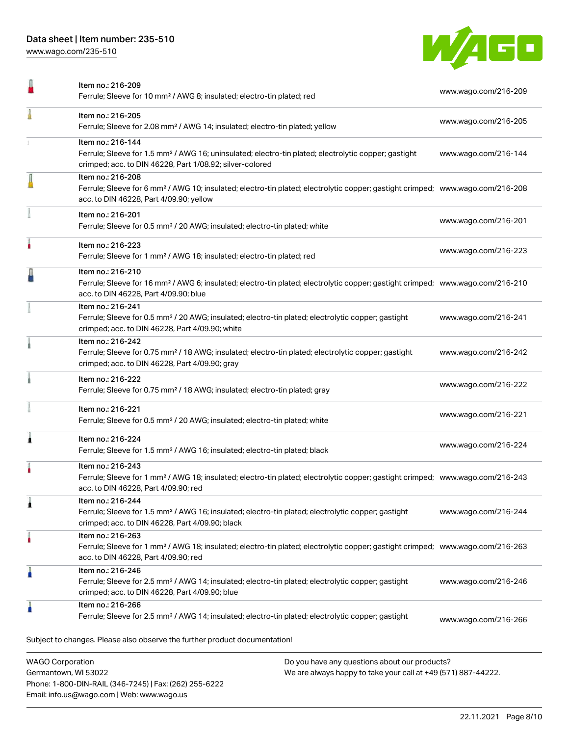Phone: 1-800-DIN-RAIL (346-7245) | Fax: (262) 255-6222

Email: info.us@wago.com | Web: www.wago.us

[www.wago.com/235-510](http://www.wago.com/235-510)



|                         | Item no.: 216-209<br>Ferrule; Sleeve for 10 mm <sup>2</sup> / AWG 8; insulated; electro-tin plated; red                                                                                                    |                                                                                                                | www.wago.com/216-209 |
|-------------------------|------------------------------------------------------------------------------------------------------------------------------------------------------------------------------------------------------------|----------------------------------------------------------------------------------------------------------------|----------------------|
|                         | Item no.: 216-205<br>Ferrule; Sleeve for 2.08 mm <sup>2</sup> / AWG 14; insulated; electro-tin plated; yellow                                                                                              |                                                                                                                | www.wago.com/216-205 |
|                         | Item no.: 216-144<br>Ferrule; Sleeve for 1.5 mm <sup>2</sup> / AWG 16; uninsulated; electro-tin plated; electrolytic copper; gastight<br>crimped; acc. to DIN 46228, Part 1/08.92; silver-colored          |                                                                                                                | www.wago.com/216-144 |
|                         | Item no.: 216-208<br>Ferrule; Sleeve for 6 mm <sup>2</sup> / AWG 10; insulated; electro-tin plated; electrolytic copper; gastight crimped; www.wago.com/216-208<br>acc. to DIN 46228, Part 4/09.90; yellow |                                                                                                                |                      |
|                         | Item no.: 216-201<br>Ferrule; Sleeve for 0.5 mm <sup>2</sup> / 20 AWG; insulated; electro-tin plated; white                                                                                                |                                                                                                                | www.wago.com/216-201 |
|                         | Item no.: 216-223<br>Ferrule; Sleeve for 1 mm <sup>2</sup> / AWG 18; insulated; electro-tin plated; red                                                                                                    |                                                                                                                | www.wago.com/216-223 |
|                         | Item no.: 216-210<br>Ferrule; Sleeve for 16 mm <sup>2</sup> / AWG 6; insulated; electro-tin plated; electrolytic copper; gastight crimped; www.wago.com/216-210<br>acc. to DIN 46228, Part 4/09.90; blue   |                                                                                                                |                      |
|                         | Item no.: 216-241<br>Ferrule; Sleeve for 0.5 mm <sup>2</sup> / 20 AWG; insulated; electro-tin plated; electrolytic copper; gastight<br>crimped; acc. to DIN 46228, Part 4/09.90; white                     |                                                                                                                | www.wago.com/216-241 |
|                         | Item no.: 216-242<br>Ferrule; Sleeve for 0.75 mm <sup>2</sup> / 18 AWG; insulated; electro-tin plated; electrolytic copper; gastight<br>crimped; acc. to DIN 46228, Part 4/09.90; gray                     |                                                                                                                | www.wago.com/216-242 |
|                         | Item no.: 216-222<br>Ferrule; Sleeve for 0.75 mm <sup>2</sup> / 18 AWG; insulated; electro-tin plated; gray                                                                                                |                                                                                                                | www.wago.com/216-222 |
|                         | Item no.: 216-221<br>Ferrule; Sleeve for 0.5 mm <sup>2</sup> / 20 AWG; insulated; electro-tin plated; white                                                                                                |                                                                                                                | www.wago.com/216-221 |
|                         | Item no.: 216-224<br>Ferrule; Sleeve for 1.5 mm <sup>2</sup> / AWG 16; insulated; electro-tin plated; black                                                                                                |                                                                                                                | www.wago.com/216-224 |
|                         | Item no.: 216-243<br>Ferrule; Sleeve for 1 mm <sup>2</sup> / AWG 18; insulated; electro-tin plated; electrolytic copper; gastight crimped; www.wago.com/216-243<br>acc. to DIN 46228, Part 4/09.90; red    |                                                                                                                |                      |
|                         | Item no.: 216-244<br>Ferrule; Sleeve for 1.5 mm <sup>2</sup> / AWG 16; insulated; electro-tin plated; electrolytic copper; gastight<br>crimped; acc. to DIN 46228, Part 4/09.90; black                     |                                                                                                                | www.wago.com/216-244 |
|                         | Item no.: 216-263<br>Ferrule; Sleeve for 1 mm <sup>2</sup> / AWG 18; insulated; electro-tin plated; electrolytic copper; gastight crimped; www.wago.com/216-263<br>acc. to DIN 46228, Part 4/09.90; red    |                                                                                                                |                      |
|                         | Item no.: 216-246<br>Ferrule; Sleeve for 2.5 mm <sup>2</sup> / AWG 14; insulated; electro-tin plated; electrolytic copper; gastight<br>crimped; acc. to DIN 46228, Part 4/09.90; blue                      |                                                                                                                | www.wago.com/216-246 |
|                         | Item no.: 216-266<br>Ferrule; Sleeve for 2.5 mm <sup>2</sup> / AWG 14; insulated; electro-tin plated; electrolytic copper; gastight                                                                        |                                                                                                                | www.wago.com/216-266 |
|                         | Subject to changes. Please also observe the further product documentation!                                                                                                                                 |                                                                                                                |                      |
| <b>WAGO Corporation</b> | Germantown, WI 53022                                                                                                                                                                                       | Do you have any questions about our products?<br>We are always happy to take your call at +49 (571) 887-44222. |                      |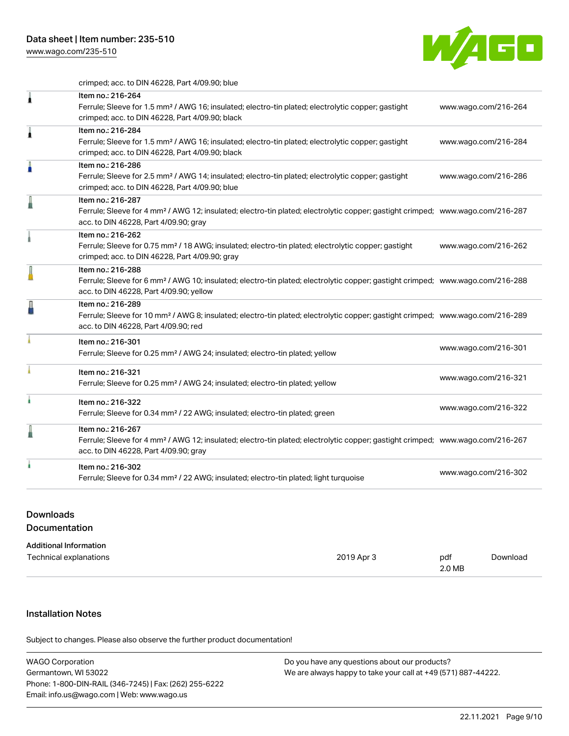[www.wago.com/235-510](http://www.wago.com/235-510)



crimped; acc. to DIN 46228, Part 4/09.90; blue

| Item no.: 216-264<br>Ferrule; Sleeve for 1.5 mm <sup>2</sup> / AWG 16; insulated; electro-tin plated; electrolytic copper; gastight<br>crimped; acc. to DIN 46228, Part 4/09.90; black<br>Item no.: 216-284<br>Ferrule; Sleeve for 1.5 mm <sup>2</sup> / AWG 16; insulated; electro-tin plated; electrolytic copper; gastight<br>crimped; acc. to DIN 46228, Part 4/09.90; black<br>Item no.: 216-286<br>Ferrule; Sleeve for 2.5 mm <sup>2</sup> / AWG 14; insulated; electro-tin plated; electrolytic copper; gastight<br>crimped; acc. to DIN 46228, Part 4/09.90; blue<br>Item no.: 216-287<br>Ferrule; Sleeve for 4 mm <sup>2</sup> / AWG 12; insulated; electro-tin plated; electrolytic copper; gastight crimped; www.wago.com/216-287<br>acc. to DIN 46228, Part 4/09.90; gray<br>Item no.: 216-262 | www.wago.com/216-264<br>www.wago.com/216-284<br>www.wago.com/216-286 |
|------------------------------------------------------------------------------------------------------------------------------------------------------------------------------------------------------------------------------------------------------------------------------------------------------------------------------------------------------------------------------------------------------------------------------------------------------------------------------------------------------------------------------------------------------------------------------------------------------------------------------------------------------------------------------------------------------------------------------------------------------------------------------------------------------------|----------------------------------------------------------------------|
|                                                                                                                                                                                                                                                                                                                                                                                                                                                                                                                                                                                                                                                                                                                                                                                                            |                                                                      |
|                                                                                                                                                                                                                                                                                                                                                                                                                                                                                                                                                                                                                                                                                                                                                                                                            |                                                                      |
|                                                                                                                                                                                                                                                                                                                                                                                                                                                                                                                                                                                                                                                                                                                                                                                                            |                                                                      |
|                                                                                                                                                                                                                                                                                                                                                                                                                                                                                                                                                                                                                                                                                                                                                                                                            |                                                                      |
| Ferrule; Sleeve for 0.75 mm <sup>2</sup> / 18 AWG; insulated; electro-tin plated; electrolytic copper; gastight<br>crimped; acc. to DIN 46228, Part 4/09.90; gray                                                                                                                                                                                                                                                                                                                                                                                                                                                                                                                                                                                                                                          | www.wago.com/216-262                                                 |
| Item no.: 216-288<br>Ferrule; Sleeve for 6 mm <sup>2</sup> / AWG 10; insulated; electro-tin plated; electrolytic copper; gastight crimped; www.wago.com/216-288<br>acc. to DIN 46228, Part 4/09.90; yellow                                                                                                                                                                                                                                                                                                                                                                                                                                                                                                                                                                                                 |                                                                      |
| Item no.: 216-289<br>Ferrule; Sleeve for 10 mm <sup>2</sup> / AWG 8; insulated; electro-tin plated; electrolytic copper; gastight crimped; www.wago.com/216-289<br>acc. to DIN 46228, Part 4/09.90; red                                                                                                                                                                                                                                                                                                                                                                                                                                                                                                                                                                                                    |                                                                      |
| Item no.: 216-301<br>Ferrule; Sleeve for 0.25 mm <sup>2</sup> / AWG 24; insulated; electro-tin plated; yellow                                                                                                                                                                                                                                                                                                                                                                                                                                                                                                                                                                                                                                                                                              | www.wago.com/216-301                                                 |
| Item no.: 216-321<br>Ferrule; Sleeve for 0.25 mm <sup>2</sup> / AWG 24; insulated; electro-tin plated; yellow                                                                                                                                                                                                                                                                                                                                                                                                                                                                                                                                                                                                                                                                                              | www.wago.com/216-321                                                 |
| Item no.: 216-322<br>Ferrule; Sleeve for 0.34 mm <sup>2</sup> / 22 AWG; insulated; electro-tin plated; green                                                                                                                                                                                                                                                                                                                                                                                                                                                                                                                                                                                                                                                                                               | www.wago.com/216-322                                                 |
| Item no.: 216-267<br>Ferrule; Sleeve for 4 mm <sup>2</sup> / AWG 12; insulated; electro-tin plated; electrolytic copper; gastight crimped; www.wago.com/216-267<br>acc. to DIN 46228, Part 4/09.90; gray                                                                                                                                                                                                                                                                                                                                                                                                                                                                                                                                                                                                   |                                                                      |
| Item no.: 216-302<br>Ferrule; Sleeve for 0.34 mm <sup>2</sup> / 22 AWG; insulated; electro-tin plated; light turquoise                                                                                                                                                                                                                                                                                                                                                                                                                                                                                                                                                                                                                                                                                     | www.wago.com/216-302                                                 |
|                                                                                                                                                                                                                                                                                                                                                                                                                                                                                                                                                                                                                                                                                                                                                                                                            |                                                                      |

# Downloads Documentation

| <b>Additional Information</b> |            |        |          |
|-------------------------------|------------|--------|----------|
| Technical explanations        | 2019 Apr 3 | pdf    | Download |
|                               |            | 2.0 MB |          |

# Installation Notes

Subject to changes. Please also observe the further product documentation!

| <b>WAGO Corporation</b>                                | Do you have any questions about our products?                 |
|--------------------------------------------------------|---------------------------------------------------------------|
| Germantown, WI 53022                                   | We are always happy to take your call at +49 (571) 887-44222. |
| Phone: 1-800-DIN-RAIL (346-7245)   Fax: (262) 255-6222 |                                                               |
| Email: info.us@wago.com   Web: www.wago.us             |                                                               |